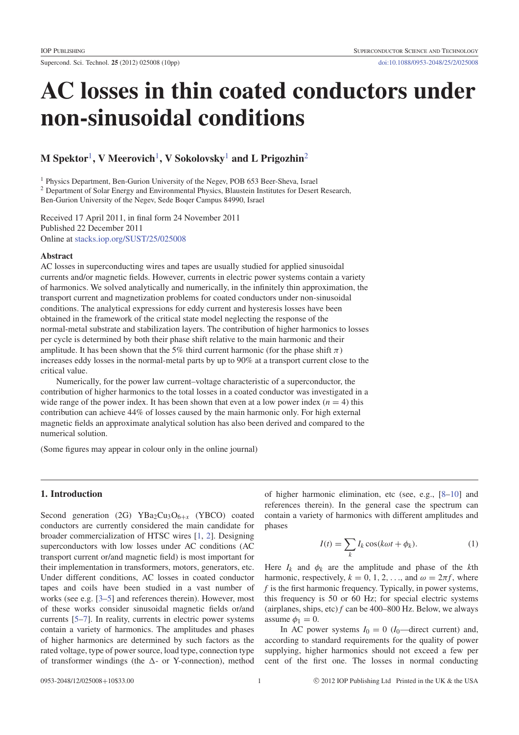# AC losses in thin coated conductors under non-sinusoidal conditions

# M Spektor $^1$ , V Meerovich $^1$ , V Sokolovsky $^1$  and L Prigozhin $^2$

<sup>1</sup> Physics Department, Ben-Gurion University of the Negev, POB 653 Beer-Sheva, Israel <sup>2</sup> Department of Solar Energy and Environmental Physics, Blaustein Institutes for Desert Research, Ben-Gurion University of the Negev, Sede Boqer Campus 84990, Israel

Received 17 April 2011, in final form 24 November 2011 Published 22 December 2011 Online at stacks.iop.org/SUST/25/025008

#### **A** hstract

AC losses in superconducting wires and tapes are usually studied for applied sinusoidal currents and/or magnetic fields. However, currents in electric power systems contain a variety of harmonics. We solved analytically and numerically, in the infinitely thin approximation, the transport current and magnetization problems for coated conductors under non-sinusoidal conditions. The analytical expressions for eddy current and hysteresis losses have been obtained in the framework of the critical state model neglecting the response of the normal-metal substrate and stabilization layers. The contribution of higher harmonics to losses per cycle is determined by both their phase shift relative to the main harmonic and their amplitude. It has been shown that the 5% third current harmonic (for the phase shift  $\pi$ ) increases eddy losses in the normal-metal parts by up to 90% at a transport current close to the critical value.

Numerically, for the power law current–voltage characteristic of a superconductor, the contribution of higher harmonics to the total losses in a coated conductor was investigated in a wide range of the power index. It has been shown that even at a low power index  $(n = 4)$  this contribution can achieve 44% of losses caused by the main harmonic only. For high external magnetic fields an approximate analytical solution has also been derived and compared to the numerical solution.

(Some figures may appear in colour only in the online journal)

# 1. Introduction

Second generation (2G) YBa<sub>2</sub>Cu<sub>3</sub>O<sub>6+x</sub> (YBCO) coated conductors are currently considered the main candidate for broader commercialization of HTSC wires [1, 2]. Designing superconductors with low losses under AC conditions (AC transport current or/and magnetic field) is most important for their implementation in transformers, motors, generators, etc. Under different conditions, AC losses in coated conductor tapes and coils have been studied in a vast number of works (see e.g. [3–5] and references therein). However, most of these works consider sinusoidal magnetic fields or/and currents [5–7]. In reality, currents in electric power systems contain a variety of harmonics. The amplitudes and phases of higher harmonics are determined by such factors as the rated voltage, type of power source, load type, connection type of transformer windings (the  $\Delta$ - or Y-connection), method

of higher harmonic elimination, etc (see, e.g., [8–10] and references therein). In the general case the spectrum can contain a variety of harmonics with different amplitudes and phases

$$
I(t) = \sum_{k} I_k \cos(k\omega t + \phi_k).
$$
 (1)

Here  $I_k$  and  $\phi_k$  are the amplitude and phase of the *k*th harmonic, respectively,  $k = 0, 1, 2, \dots$ , and  $\omega = 2\pi f$ , where *f* is the first harmonic frequency. Typically, in power systems, this frequency is 50 or 60 Hz; for special electric systems (airplanes, ships,  $etc$ )  $f$  can be 400–800 Hz. Below, we always assume  $\phi_1 = 0$ .

In AC power systems  $I_0 = 0$  ( $I_0$ —direct current) and, according to standard requirements for the quality of power supplying, higher harmonics should not exceed a few per cent of the first one. The losses in normal conducting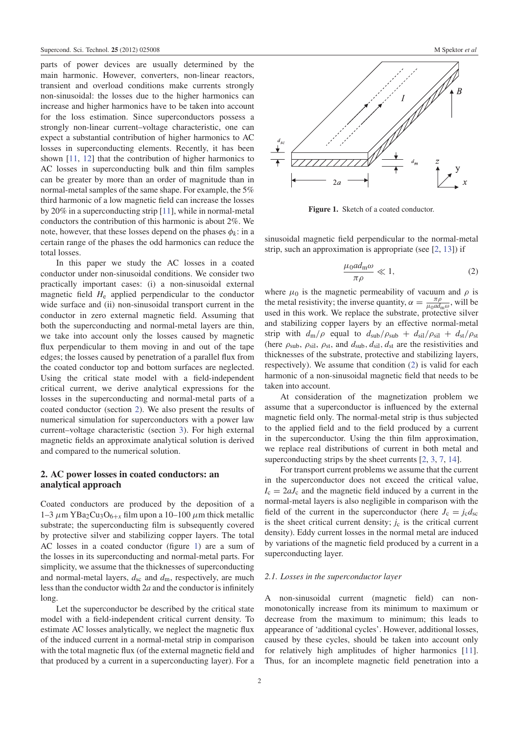parts of power devices are usually determined by the main harmonic. However, converters, non-linear reactors, transient and overload conditions make currents strongly non-sinusoidal: the losses due to the higher harmonics can increase and higher harmonics have to be taken into account for the loss estimation. Since superconductors possess a strongly non-linear current–voltage characteristic, one can expect a substantial contribution of higher harmonics to AC losses in superconducting elements. Recently, it has been shown [11, 12] that the contribution of higher harmonics to AC losses in superconducting bulk and thin film samples can be greater by more than an order of magnitude than in normal-metal samples of the same shape. For example, the 5% third harmonic of a low magnetic field can increase the losses by 20% in a superconducting strip [11], while in normal-metal conductors the contribution of this harmonic is about 2%. We note, however, that these losses depend on the phases  $\phi_k$ : in a certain range of the phases the odd harmonics can reduce the total losses.

In this paper we study the AC losses in a coated conductor under non-sinusoidal conditions. We consider two practically important cases: (i) a non-sinusoidal external magnetic field *H*<sup>e</sup> applied perpendicular to the conductor wide surface and (ii) non-sinusoidal transport current in the conductor in zero external magnetic field. Assuming that both the superconducting and normal-metal layers are thin, we take into account only the losses caused by magnetic flux perpendicular to them moving in and out of the tape edges; the losses caused by penetration of a parallel flux from the coated conductor top and bottom surfaces are neglected. Using the critical state model with a field-independent critical current, we derive analytical expressions for the losses in the superconducting and normal-metal parts of a coated conductor (section 2). We also present the results of numerical simulation for superconductors with a power law current–voltage characteristic (section 3). For high external magnetic fields an approximate analytical solution is derived and compared to the numerical solution.

## 2. AC power losses in coated conductors: an analytical approach

Coated conductors are produced by the deposition of a 1–3  $\mu$ m YBa<sub>2</sub>Cu<sub>3</sub>O<sub>6+x</sub> film upon a 10–100  $\mu$ m thick metallic substrate; the superconducting film is subsequently covered by protective silver and stabilizing copper layers. The total AC losses in a coated conductor (figure 1) are a sum of the losses in its superconducting and normal-metal parts. For simplicity, we assume that the thicknesses of superconducting and normal-metal layers,  $d_{\rm sc}$  and  $d_{\rm m}$ , respectively, are much less than the conductor width 2*a* and the conductor is infinitely long.

Let the superconductor be described by the critical state model with a field-independent critical current density. To estimate AC losses analytically, we neglect the magnetic flux of the induced current in a normal-metal strip in comparison with the total magnetic flux (of the external magnetic field and that produced by a current in a superconducting layer). For a



Figure 1. Sketch of a coated conductor.

sinusoidal magnetic field perpendicular to the normal-metal strip, such an approximation is appropriate (see  $[2, 13]$ ) if

$$
\frac{\mu_0 a d_{\rm m}\omega}{\pi \rho} \ll 1,\tag{2}
$$

where  $\mu_0$  is the magnetic permeability of vacuum and  $\rho$  is the metal resistivity; the inverse quantity,  $\alpha = \frac{\pi \rho}{\mu_0 a d_1}$  $\frac{\pi \rho}{\mu_0 a d_m \omega}$ , will be used in this work. We replace the substrate, protective silver and stabilizing copper layers by an effective normal-metal strip with  $d_m/\rho$  equal to  $d_{sub}/\rho_{sub} + d_{sil}/\rho_{sil} + d_{st}/\rho_{st}$ (here  $\rho_{sub}$ ,  $\rho_{sil}$ ,  $\rho_{st}$ , and  $d_{sub}$ ,  $d_{sil}$ ,  $d_{st}$  are the resistivities and thicknesses of the substrate, protective and stabilizing layers, respectively). We assume that condition (2) is valid for each harmonic of a non-sinusoidal magnetic field that needs to be taken into account.

At consideration of the magnetization problem we assume that a superconductor is influenced by the external magnetic field only. The normal-metal strip is thus subjected to the applied field and to the field produced by a current in the superconductor. Using the thin film approximation, we replace real distributions of current in both metal and superconducting strips by the sheet currents [2, 3, 7, 14].

For transport current problems we assume that the current in the superconductor does not exceed the critical value,  $I_c = 2aJ_c$  and the magnetic field induced by a current in the normal-metal layers is also negligible in comparison with the field of the current in the superconductor (here  $J_c = j_c d_{sc}$ is the sheet critical current density;  $j_c$  is the critical current density). Eddy current losses in the normal metal are induced by variations of the magnetic field produced by a current in a superconducting layer.

#### *2.1. Losses in the superconductor layer*

A non-sinusoidal current (magnetic field) can nonmonotonically increase from its minimum to maximum or decrease from the maximum to minimum; this leads to appearance of 'additional cycles'. However, additional losses, caused by these cycles, should be taken into account only for relatively high amplitudes of higher harmonics [11]. Thus, for an incomplete magnetic field penetration into a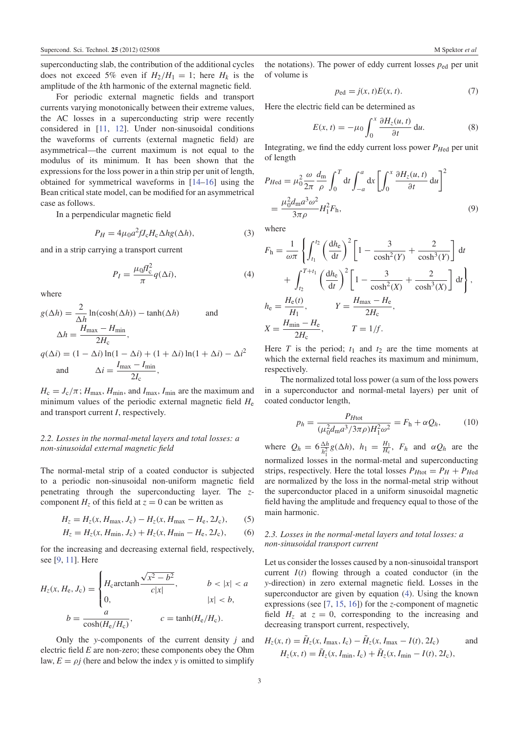superconducting slab, the contribution of the additional cycles does not exceed 5% even if  $H_2/H_1 = 1$ ; here  $H_k$  is the amplitude of the *k*th harmonic of the external magnetic field.

For periodic external magnetic fields and transport currents varying monotonically between their extreme values, the AC losses in a superconducting strip were recently considered in [11, 12]. Under non-sinusoidal conditions the waveforms of currents (external magnetic field) are asymmetrical—the current maximum is not equal to the modulus of its minimum. It has been shown that the expressions for the loss power in a thin strip per unit of length, obtained for symmetrical waveforms in [14–16] using the Bean critical state model, can be modified for an asymmetrical case as follows.

In a perpendicular magnetic field

$$
P_H = 4\mu_0 a^2 f J_c H_c \Delta h g(\Delta h),\tag{3}
$$

and in a strip carrying a transport current

$$
P_I = \frac{\mu_0 f I_c^2}{\pi} q(\Delta i),\tag{4}
$$

where

$$
g(\Delta h) = \frac{2}{\Delta h} \ln(\cosh(\Delta h)) - \tanh(\Delta h)
$$
 and  
\n
$$
\Delta h = \frac{H_{\text{max}} - H_{\text{min}}}{2H_c},
$$
  
\n
$$
q(\Delta i) = (1 - \Delta i) \ln(1 - \Delta i) + (1 + \Delta i) \ln(1 + \Delta i) - \Delta i^2
$$
  
\nand 
$$
\Delta i = \frac{I_{\text{max}} - I_{\text{min}}}{2I_c},
$$

 $H_c = J_c / \pi$ ;  $H_{\text{max}}$ ,  $H_{\text{min}}$ , and  $I_{\text{max}}$ ,  $I_{\text{min}}$  are the maximum and minimum values of the periodic external magnetic field *H*<sup>e</sup> and transport current *I*, respectively.

### *2.2. Losses in the normal-metal layers and total losses: a non-sinusoidal external magnetic field*

The normal-metal strip of a coated conductor is subjected to a periodic non-sinusoidal non-uniform magnetic field penetrating through the superconducting layer. The *z*component  $H_z$  of this field at  $z = 0$  can be written as

$$
H_z = H_z(x, H_{\text{max}}, J_c) - H_z(x, H_{\text{max}} - H_e, 2J_c),
$$
 (5)

$$
H_z = H_z(x, H_{\min}, J_c) + H_z(x, H_{\min} - H_e, 2J_c),
$$
 (6)

for the increasing and decreasing external field, respectively, see [9, 11]. Here

$$
H_z(x, H_e, J_c) = \begin{cases} H_c \operatorname{arctanh} \frac{\sqrt{x^2 - b^2}}{c|x|}, & b < |x| < a \\ 0, & |x| < b, \end{cases}
$$
  

$$
b = \frac{a}{\cosh(H_e/H_c)}, \qquad c = \tanh(H_e/H_c).
$$

Only the *y*-components of the current density *j* and electric field *E* are non-zero; these components obey the Ohm law,  $E = \rho j$  (here and below the index *y* is omitted to simplify

the notations). The power of eddy current losses *p*ed per unit of volume is

$$
p_{\rm ed} = j(x, t)E(x, t). \tag{7}
$$

Here the electric field can be determined as

$$
E(x, t) = -\mu_0 \int_0^x \frac{\partial H_z(u, t)}{\partial t} \, \mathrm{d}u. \tag{8}
$$

Integrating, we find the eddy current loss power *PH*ed per unit of length

$$
P_{\text{Hed}} = \mu_0^2 \frac{\omega}{2\pi} \frac{d_{\text{m}}}{\rho} \int_0^T dt \int_{-a}^a dx \left[ \int_0^x \frac{\partial H_z(u, t)}{\partial t} du \right]^2
$$
  
= 
$$
\frac{\mu_0^2 d_{\text{m}} a^3 \omega^2}{3\pi \rho} H_1^2 F_{\text{h}},
$$
 (9)

where

$$
F_{\rm h} = \frac{1}{\omega \pi} \left\{ \int_{t_1}^{t_2} \left( \frac{dh_{\rm e}}{dt} \right)^2 \left[ 1 - \frac{3}{\cosh^2(Y)} + \frac{2}{\cosh^3(Y)} \right] dt \right\}
$$
  
+ 
$$
\int_{t_2}^{T+t_1} \left( \frac{dh_{\rm e}}{dt} \right)^2 \left[ 1 - \frac{3}{\cosh^2(X)} + \frac{2}{\cosh^3(X)} \right] dt \right\},
$$
  

$$
h_{\rm e} = \frac{H_{\rm e}(t)}{H_1}, \qquad Y = \frac{H_{\rm max} - H_{\rm e}}{2H_{\rm c}},
$$
  

$$
X = \frac{H_{\rm min} - H_{\rm e}}{2H_{\rm c}}, \qquad T = 1/f.
$$

Here *T* is the period;  $t_1$  and  $t_2$  are the time moments at which the external field reaches its maximum and minimum, respectively.

The normalized total loss power (a sum of the loss powers in a superconductor and normal-metal layers) per unit of coated conductor length,

$$
p_h = \frac{P_{H\text{tot}}}{(\mu_0^2 d_{\text{m}} a^3 / 3\pi \rho) H_1^2 \omega^2} = F_h + \alpha Q_h, \qquad (10)
$$

where  $Q_h = 6 \frac{\Delta h}{h_1^2}$  $\frac{\Delta h}{h_1^2} g(\Delta h)$ ,  $h_1 = \frac{H_1}{H_c}$ ,  $F_h$  and  $\alpha Q_h$  are the normalized losses in the normal-metal and superconducting strips, respectively. Here the total losses  $P_{H\text{tot}} = P_H + P_{H\text{ed}}$ are normalized by the loss in the normal-metal strip without the superconductor placed in a uniform sinusoidal magnetic field having the amplitude and frequency equal to those of the main harmonic.

### *2.3. Losses in the normal-metal layers and total losses: a non-sinusoidal transport current*

Let us consider the losses caused by a non-sinusoidal transport current *I*(*t*) flowing through a coated conductor (in the *y*-direction) in zero external magnetic field. Losses in the superconductor are given by equation (4). Using the known expressions (see [7, 15, 16]) for the *z*-component of magnetic field  $H_z$  at  $z = 0$ , corresponding to the increasing and decreasing transport current, respectively,

$$
H_z(x, t) = \tilde{H}_z(x, I_{\text{max}}, I_c) - \tilde{H}_z(x, I_{\text{max}} - I(t), 2I_c)
$$
 and  

$$
H_z(x, t) = \tilde{H}_z(x, I_{\text{min}}, I_c) + \tilde{H}_z(x, I_{\text{min}} - I(t), 2I_c),
$$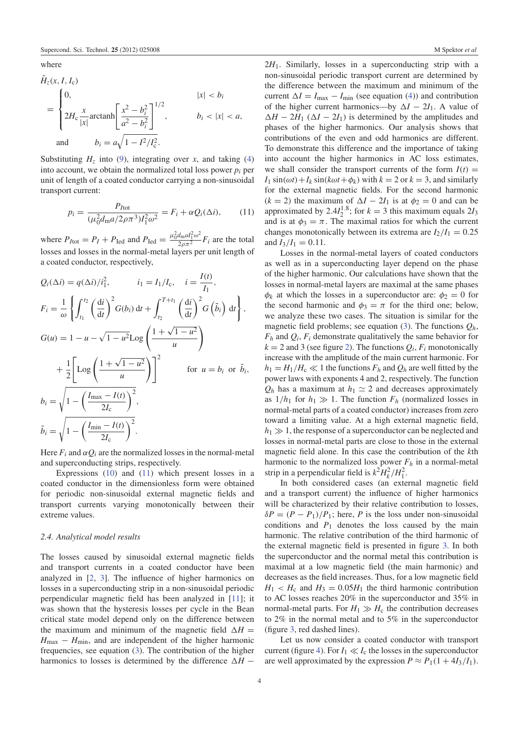where

$$
\tilde{H}_z(x, I, I_c) = \begin{cases}\n0, & |x| < b_i \\
2H_c \frac{x}{|x|} \operatorname{arctanh} \left[ \frac{x^2 - b_i^2}{a^2 - b_i^2} \right]^{1/2}, & b_i < |x| < a, \\
0, & b_i = a\sqrt{1 - I^2/I_c^2}.\n\end{cases}
$$

Substituting  $H_z$  into (9), integrating over *x*, and taking (4) into account, we obtain the normalized total loss power  $p_i$  per unit of length of a coated conductor carrying a non-sinusoidal transport current:

$$
p_i = \frac{P_{I\text{tot}}}{(\mu_0^2 d_{\text{m}} a / 2\rho \pi^3) I_1^2 \omega^2} = F_i + \alpha Q_i(\Delta i), \qquad (11)
$$

where  $P_{I\text{tot}} = P_I + P_{\text{Ied}}$  and  $P_{\text{Ied}} = \frac{\mu_0^2 d_{\text{m}} a I_1^2 \omega^2}{2\rho \pi^2} F_i$  are the total losses and losses in the normal-metal layers per unit length of a coated conductor, respectively,

$$
Q_i(\Delta i) = q(\Delta i)/i_1^2, \qquad i_1 = I_1/I_c, \quad i = \frac{I(t)}{I_1},
$$
  
\n
$$
F_i = \frac{1}{\omega} \left\{ \int_{t_1}^{t_2} \left( \frac{di}{dt} \right)^2 G(b_i) dt + \int_{t_2}^{T+t_1} \left( \frac{di}{dt} \right)^2 G(\tilde{b}_i) dt \right\},
$$
  
\n
$$
G(u) = 1 - u - \sqrt{1 - u^2} \text{Log}\left( \frac{1 + \sqrt{1 - u^2}}{u} \right)
$$
  
\n
$$
+ \frac{1}{2} \left[ \text{Log}\left( \frac{1 + \sqrt{1 - u^2}}{u} \right) \right]^2 \qquad \text{for } u = b_i \text{ or } \tilde{b}_i,
$$
  
\n
$$
b_i = \sqrt{1 - \left( \frac{I_{\text{max}} - I(t)}{2I_c} \right)^2},
$$
  
\n
$$
\tilde{b}_i = \sqrt{1 - \left( \frac{I_{\text{min}} - I(t)}{2I_c} \right)^2}.
$$

Here  $F_i$  and  $\alpha Q_i$  are the normalized losses in the normal-metal and superconducting strips, respectively.

Expressions (10) and (11) which present losses in a coated conductor in the dimensionless form were obtained for periodic non-sinusoidal external magnetic fields and transport currents varying monotonically between their extreme values.

#### *2.4. Analytical model results*

The losses caused by sinusoidal external magnetic fields and transport currents in a coated conductor have been analyzed in [2, 3]. The influence of higher harmonics on losses in a superconducting strip in a non-sinusoidal periodic perpendicular magnetic field has been analyzed in [11]; it was shown that the hysteresis losses per cycle in the Bean critical state model depend only on the difference between the maximum and minimum of the magnetic field  $\Delta H =$  $H_{\text{max}} - H_{\text{min}}$ , and are independent of the higher harmonic frequencies, see equation (3). The contribution of the higher harmonics to losses is determined by the difference  $\Delta H$  −

2*H*1. Similarly, losses in a superconducting strip with a non-sinusoidal periodic transport current are determined by the difference between the maximum and minimum of the current  $\Delta I = I_{\text{max}} - I_{\text{min}}$  (see equation (4)) and contribution of the higher current harmonics—by  $\Delta I - 2I_1$ . A value of  $\Delta H - 2H_1 (\Delta I - 2I_1)$  is determined by the amplitudes and phases of the higher harmonics. Our analysis shows that contributions of the even and odd harmonics are different. To demonstrate this difference and the importance of taking into account the higher harmonics in AC loss estimates, we shall consider the transport currents of the form  $I(t)$  =  $I_1$  sin( $\omega t$ ) +  $I_k$  sin( $k\omega t$  +  $\phi_k$ ) with  $k = 2$  or  $k = 3$ , and similarly for the external magnetic fields. For the second harmonic ( $k = 2$ ) the maximum of  $\Delta I - 2I_1$  is at  $\phi_2 = 0$  and can be approximated by  $2.4I_2^{1.8}$ ; for  $k = 3$  this maximum equals  $2I_3$ and is at  $\phi_3 = \pi$ . The maximal ratios for which the current changes monotonically between its extrema are  $I_2/I_1 = 0.25$ and  $I_3/I_1 = 0.11$ .

Losses in the normal-metal layers of coated conductors as well as in a superconducting layer depend on the phase of the higher harmonic. Our calculations have shown that the losses in normal-metal layers are maximal at the same phases  $\phi_k$  at which the losses in a superconductor are:  $\phi_2 = 0$  for the second harmonic and  $\phi_3 = \pi$  for the third one; below, we analyze these two cases. The situation is similar for the magnetic field problems; see equation (3). The functions *Qh*,  $F_h$  and  $Q_i$ ,  $F_i$  demonstrate qualitatively the same behavior for  $k = 2$  and 3 (see figure 2). The functions  $Q_i$ ,  $F_i$  monotonically increase with the amplitude of the main current harmonic. For  $h_1 = H_1/H_c \ll 1$  the functions  $F_h$  and  $Q_h$  are well fitted by the power laws with exponents 4 and 2, respectively. The function  $Q_h$  has a maximum at  $h_1 \simeq 2$  and decreases approximately as  $1/h_1$  for  $h_1 \gg 1$ . The function  $F_h$  (normalized losses in normal-metal parts of a coated conductor) increases from zero toward a limiting value. At a high external magnetic field,  $h_1 \gg 1$ , the response of a superconductor can be neglected and losses in normal-metal parts are close to those in the external magnetic field alone. In this case the contribution of the *k*th harmonic to the normalized loss power  $F_h$  in a normal-metal strip in a perpendicular field is  $k^2 H_k^2/H_1^2$ .

In both considered cases (an external magnetic field and a transport current) the influence of higher harmonics will be characterized by their relative contribution to losses,  $\delta P = (P - P_1)/P_1$ ; here, *P* is the loss under non-sinusoidal conditions and  $P_1$  denotes the loss caused by the main harmonic. The relative contribution of the third harmonic of the external magnetic field is presented in figure 3. In both the superconductor and the normal metal this contribution is maximal at a low magnetic field (the main harmonic) and decreases as the field increases. Thus, for a low magnetic field  $H_1 < H_c$  and  $H_3 = 0.05H_1$  the third harmonic contribution to AC losses reaches 20% in the superconductor and 35% in normal-metal parts. For  $H_1 \gg H_c$  the contribution decreases to 2% in the normal metal and to 5% in the superconductor (figure 3, red dashed lines).

Let us now consider a coated conductor with transport current (figure 4). For  $I_1 \ll I_c$  the losses in the superconductor are well approximated by the expression  $P \approx P_1(1 + 4I_3/I_1)$ .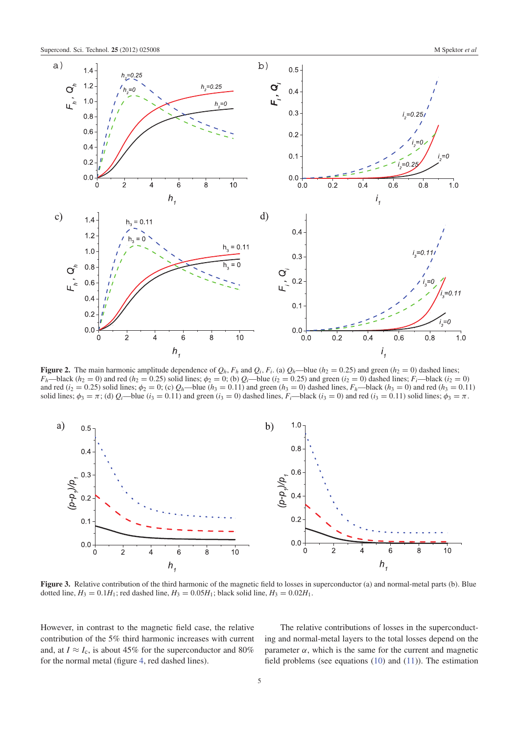

Figure 2. The main harmonic amplitude dependence of  $Q_h$ ,  $F_h$  and  $Q_i$ ,  $F_i$ . (a)  $Q_h$ —blue ( $h_2 = 0.25$ ) and green ( $h_2 = 0$ ) dashed lines;  $F_h$ —black (*h*<sub>2</sub> = 0) and red (*h*<sub>2</sub> = 0.25) solid lines;  $\phi_2$  = 0; (b)  $Q_i$ —blue (*i*<sub>2</sub> = 0.25) and green (*i*<sub>2</sub> = 0) dashed lines;  $F_i$ —black (*i*<sub>2</sub> = 0) and red ( $i_2 = 0.25$ ) solid lines;  $\phi_2 = 0$ ; (c)  $Q_h$ —blue ( $h_3 = 0.11$ ) and green ( $h_3 = 0$ ) dashed lines,  $F_h$ —black ( $h_3 = 0$ ) and red ( $h_3 = 0.11$ ) solid lines;  $\phi_3 = \pi$ ; (d)  $Q_i$ —blue ( $i_3 = 0.11$ ) and green ( $i_3 = 0$ ) dashed lines,  $F_i$ —black ( $i_3 = 0$ ) and red ( $i_3 = 0.11$ ) solid lines;  $\phi_3 = \pi$ .



Figure 3. Relative contribution of the third harmonic of the magnetic field to losses in superconductor (a) and normal-metal parts (b). Blue dotted line,  $H_3 = 0.1H_1$ ; red dashed line,  $H_3 = 0.05H_1$ ; black solid line,  $H_3 = 0.02H_1$ .

However, in contrast to the magnetic field case, the relative contribution of the 5% third harmonic increases with current and, at  $I \approx I_c$ , is about 45% for the superconductor and 80% for the normal metal (figure 4, red dashed lines).

The relative contributions of losses in the superconducting and normal-metal layers to the total losses depend on the parameter  $\alpha$ , which is the same for the current and magnetic field problems (see equations (10) and (11)). The estimation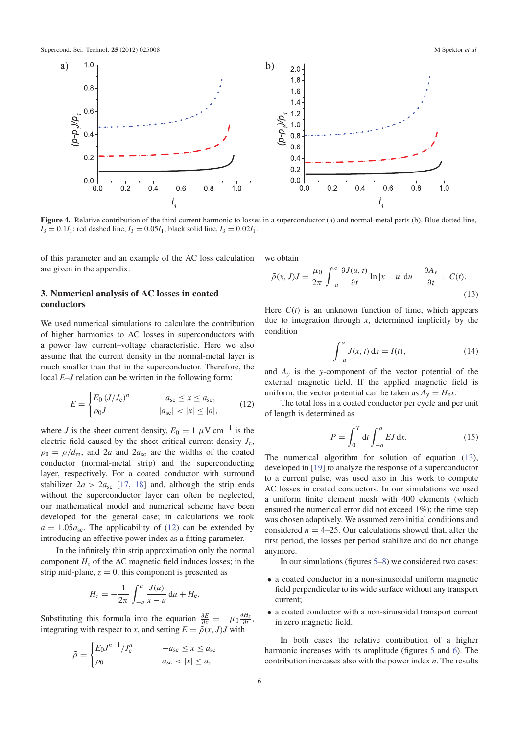

Figure 4. Relative contribution of the third current harmonic to losses in a superconductor (a) and normal-metal parts (b). Blue dotted line,  $I_3 = 0.1I_1$ ; red dashed line,  $I_3 = 0.05I_1$ ; black solid line,  $I_3 = 0.02I_1$ .

of this parameter and an example of the AC loss calculation are given in the appendix.

# 3. Numerical analysis of AC losses in coated conductors

We used numerical simulations to calculate the contribution of higher harmonics to AC losses in superconductors with a power law current–voltage characteristic. Here we also assume that the current density in the normal-metal layer is much smaller than that in the superconductor. Therefore, the local *E*–*J* relation can be written in the following form:

$$
E = \begin{cases} E_0 (J/J_c)^n & -a_{\rm sc} \le x \le a_{\rm sc}, \\ \rho_0 J & |a_{\rm sc}| < |x| \le |a|, \end{cases} \tag{12}
$$

where *J* is the sheet current density,  $E_0 = 1 \mu V \text{ cm}^{-1}$  is the electric field caused by the sheet critical current density *J*c,  $\rho_0 = \rho/d_m$ , and 2*a* and 2*a*<sub>sc</sub> are the widths of the coated conductor (normal-metal strip) and the superconducting layer, respectively. For a coated conductor with surround stabilizer  $2a > 2a_{\rm sc}$  [17, 18] and, although the strip ends without the superconductor layer can often be neglected, our mathematical model and numerical scheme have been developed for the general case; in calculations we took  $a = 1.05a_{\rm sc}$ . The applicability of (12) can be extended by introducing an effective power index as a fitting parameter.

In the infinitely thin strip approximation only the normal component  $H<sub>z</sub>$  of the AC magnetic field induces losses; in the strip mid-plane,  $z = 0$ , this component is presented as

$$
H_z = -\frac{1}{2\pi} \int_{-a}^{a} \frac{J(u)}{x - u} \, \mathrm{d}u + H_{\rm e}.
$$

Substituting this formula into the equation  $\frac{\partial E}{\partial x} = -\mu_0 \frac{\partial H_z}{\partial t}$ , integrating with respect to *x*, and setting  $E = \tilde{\rho}(x, J)J$  with

$$
\tilde{\rho} = \begin{cases} E_0 J^{n-1} / J_c^n & -a_{\rm sc} \le x \le a_{\rm sc} \\ \rho_0 & a_{\rm sc} < |x| \le a, \end{cases}
$$

we obtain

$$
\tilde{\rho}(x,J)J = \frac{\mu_0}{2\pi} \int_{-a}^{a} \frac{\partial J(u,t)}{\partial t} \ln|x-u| \, \mathrm{d}u - \frac{\partial A_y}{\partial t} + C(t). \tag{13}
$$

Here  $C(t)$  is an unknown function of time, which appears due to integration through *x*, determined implicitly by the condition

$$
\int_{-a}^{a} J(x, t) dx = I(t),
$$
 (14)

and  $A<sub>y</sub>$  is the *y*-component of the vector potential of the external magnetic field. If the applied magnetic field is uniform, the vector potential can be taken as  $A_y = H_e x$ .

The total loss in a coated conductor per cycle and per unit of length is determined as

$$
P = \int_0^T dt \int_{-a}^a E J \, \mathrm{d}x. \tag{15}
$$

The numerical algorithm for solution of equation (13), developed in [19] to analyze the response of a superconductor to a current pulse, was used also in this work to compute AC losses in coated conductors. In our simulations we used a uniform finite element mesh with 400 elements (which ensured the numerical error did not exceed 1%); the time step was chosen adaptively. We assumed zero initial conditions and considered  $n = 4-25$ . Our calculations showed that, after the first period, the losses per period stabilize and do not change anymore.

In our simulations (figures 5–8) we considered two cases:

- a coated conductor in a non-sinusoidal uniform magnetic field perpendicular to its wide surface without any transport current;
- a coated conductor with a non-sinusoidal transport current in zero magnetic field.

In both cases the relative contribution of a higher harmonic increases with its amplitude (figures 5 and 6). The contribution increases also with the power index *n*. The results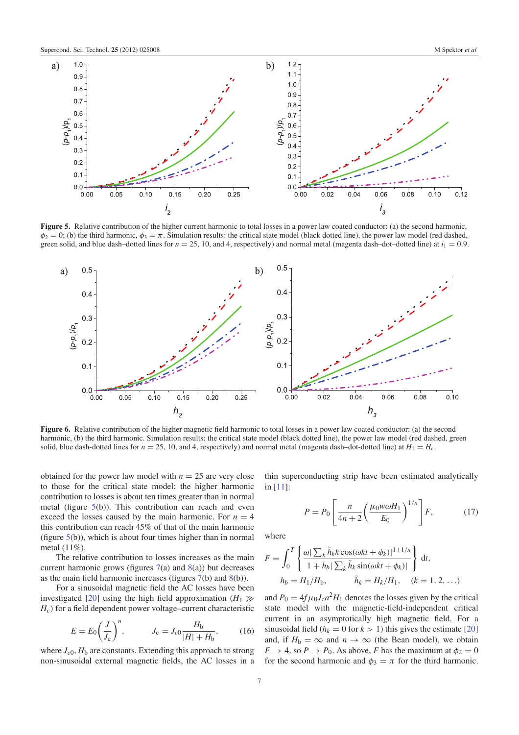

Figure 5. Relative contribution of the higher current harmonic to total losses in a power law coated conductor: (a) the second harmonic,  $\phi_2 = 0$ ; (b) the third harmonic,  $\phi_3 = \pi$ . Simulation results: the critical state model (black dotted line), the power law model (red dashed, green solid, and blue dash–dotted lines for  $n = 25$ , 10, and 4, respectively) and normal metal (magenta dash–dot–dotted line) at  $i_1 = 0.9$ .



Figure 6. Relative contribution of the higher magnetic field harmonic to total losses in a power law coated conductor: (a) the second harmonic, (b) the third harmonic. Simulation results: the critical state model (black dotted line), the power law model (red dashed, green solid, blue dash-dotted lines for  $n = 25$ , 10, and 4, respectively) and normal metal (magenta dash-dot-dotted line) at  $H_1 = H_c$ .

obtained for the power law model with  $n = 25$  are very close to those for the critical state model; the higher harmonic contribution to losses is about ten times greater than in normal metal (figure 5(b)). This contribution can reach and even exceed the losses caused by the main harmonic. For  $n = 4$ this contribution can reach 45% of that of the main harmonic (figure 5(b)), which is about four times higher than in normal metal (11%).

The relative contribution to losses increases as the main current harmonic grows (figures  $7(a)$  and  $8(a)$ ) but decreases as the main field harmonic increases (figures 7(b) and 8(b)).

For a sinusoidal magnetic field the AC losses have been investigated [20] using the high field approximation  $(H_1 \gg$ *Hc*) for a field dependent power voltage–current characteristic

$$
E = E_0 \left(\frac{J}{J_c}\right)^n, \qquad J_c = J_{c0} \frac{H_b}{|H| + H_b}, \qquad (16)
$$

where  $J_{c0}$ ,  $H_b$  are constants. Extending this approach to strong non-sinusoidal external magnetic fields, the AC losses in a thin superconducting strip have been estimated analytically in [11]:

$$
P = P_0 \left[ \frac{n}{4n+2} \left( \frac{\mu_0 w \omega H_1}{E_0} \right)^{1/n} \right] F, \tag{17}
$$

where

$$
F = \int_0^T \left\{ \frac{\omega |\sum_k \tilde{h}_k k \cos(\omega kt + \phi_k)|^{1+1/n}}{1 + h_b |\sum_k \tilde{h}_k \sin(\omega kt + \phi_k)|} \right\} dt,
$$
  

$$
h_b = H_1/H_b, \qquad \tilde{h}_k = H_k/H_1, \quad (k = 1, 2, ...)
$$

and  $P_0 = 4f\mu_0 J_c a^2 H_1$  denotes the losses given by the critical state model with the magnetic-field-independent critical current in an asymptotically high magnetic field. For a sinusoidal field ( $h_k = 0$  for  $k > 1$ ) this gives the estimate [20] and, if  $H_b = \infty$  and  $n \to \infty$  (the Bean model), we obtain  $F \rightarrow 4$ , so  $P \rightarrow P_0$ . As above, *F* has the maximum at  $\phi_2 = 0$ for the second harmonic and  $\phi_3 = \pi$  for the third harmonic.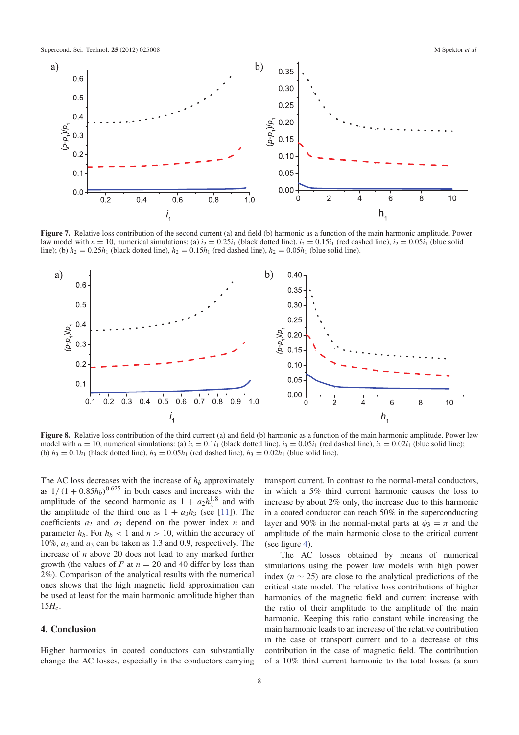

Figure 7. Relative loss contribution of the second current (a) and field (b) harmonic as a function of the main harmonic amplitude. Power law model with  $n = 10$ , numerical simulations: (a)  $i_2 = 0.25i_1$  (black dotted line),  $i_2 = 0.15i_1$  (red dashed line),  $i_2 = 0.05i_1$  (blue solid line); (b)  $h_2 = 0.25h_1$  (black dotted line),  $h_2 = 0.15h_1$  (red dashed line),  $h_2 = 0.05h_1$  (blue solid line).



Figure 8. Relative loss contribution of the third current (a) and field (b) harmonic as a function of the main harmonic amplitude. Power law model with  $n = 10$ , numerical simulations: (a)  $i_3 = 0.1i_1$  (black dotted line),  $i_3 = 0.05i_1$  (red dashed line),  $i_3 = 0.02i_1$  (blue solid line); (b)  $h_3 = 0.1h_1$  (black dotted line),  $h_3 = 0.05h_1$  (red dashed line),  $h_3 = 0.02h_1$  (blue solid line).

The AC loss decreases with the increase of *h<sup>b</sup>* approximately as  $1/(1+0.85h_b)^{0.625}$  in both cases and increases with the amplitude of the second harmonic as  $1 + a_2 h_2^{1.8}$  and with the amplitude of the third one as  $1 + a_3h_3$  (see [11]). The coefficients *a*<sup>2</sup> and *a*<sup>3</sup> depend on the power index *n* and parameter  $h_b$ . For  $h_b < 1$  and  $n > 10$ , within the accuracy of 10%,  $a_2$  and  $a_3$  can be taken as 1.3 and 0.9, respectively. The increase of *n* above 20 does not lead to any marked further growth (the values of  $F$  at  $n = 20$  and 40 differ by less than 2%). Comparison of the analytical results with the numerical ones shows that the high magnetic field approximation can be used at least for the main harmonic amplitude higher than  $15H_c$ .

#### 4. Conclusion

Higher harmonics in coated conductors can substantially change the AC losses, especially in the conductors carrying transport current. In contrast to the normal-metal conductors, in which a 5% third current harmonic causes the loss to increase by about 2% only, the increase due to this harmonic in a coated conductor can reach 50% in the superconducting layer and 90% in the normal-metal parts at  $\phi_3 = \pi$  and the amplitude of the main harmonic close to the critical current (see figure 4).

The AC losses obtained by means of numerical simulations using the power law models with high power index ( $n \sim 25$ ) are close to the analytical predictions of the critical state model. The relative loss contributions of higher harmonics of the magnetic field and current increase with the ratio of their amplitude to the amplitude of the main harmonic. Keeping this ratio constant while increasing the main harmonic leads to an increase of the relative contribution in the case of transport current and to a decrease of this contribution in the case of magnetic field. The contribution of a 10% third current harmonic to the total losses (a sum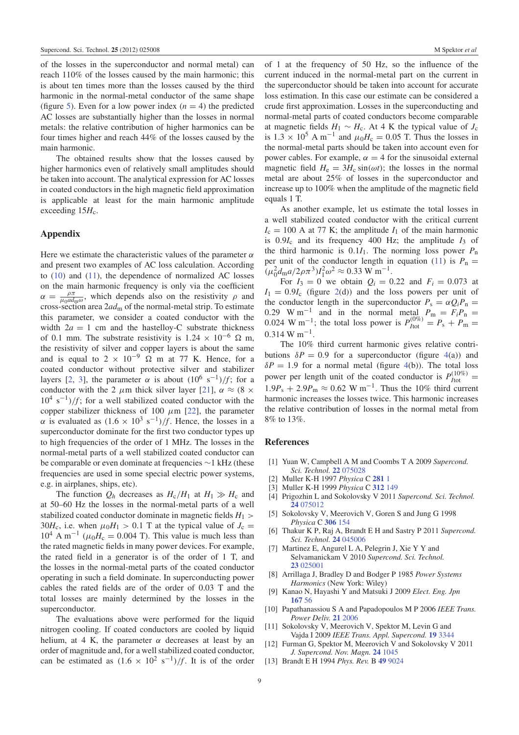of the losses in the superconductor and normal metal) can reach 110% of the losses caused by the main harmonic; this is about ten times more than the losses caused by the third harmonic in the normal-metal conductor of the same shape (figure 5). Even for a low power index  $(n = 4)$  the predicted AC losses are substantially higher than the losses in normal metals: the relative contribution of higher harmonics can be four times higher and reach 44% of the losses caused by the main harmonic.

The obtained results show that the losses caused by higher harmonics even of relatively small amplitudes should be taken into account. The analytical expression for AC losses in coated conductors in the high magnetic field approximation is applicable at least for the main harmonic amplitude exceeding  $15H_c$ .

### Appendix

Here we estimate the characteristic values of the parameter  $\alpha$ and present two examples of AC loss calculation. According to (10) and (11), the dependence of normalized AC losses on the main harmonic frequency is only via the coefficient  $\alpha = \frac{\rho \pi}{\mu_0 a d_1}$  $\frac{\rho \pi}{\mu_0 a d_{\rm m} \omega}$ , which depends also on the resistivity  $\rho$  and cross-section area 2*ad*<sup>m</sup> of the normal-metal strip. To estimate this parameter, we consider a coated conductor with the width  $2a = 1$  cm and the hastelloy-C substrate thickness of 0.1 mm. The substrate resistivity is  $1.24 \times 10^{-6}$  Ω m, the resistivity of silver and copper layers is about the same and is equal to  $2 \times 10^{-9}$   $\Omega$  m at 77 K. Hence, for a coated conductor without protective silver and stabilizer layers [2, 3], the parameter  $\alpha$  is about  $(10^6 \text{ s}^{-1})/f$ ; for a conductor with the 2  $\mu$ m thick silver layer [21],  $\alpha \approx (8 \times$  $10^4$  s<sup>-1</sup>)/*f*; for a well stabilized coated conductor with the copper stabilizer thickness of 100  $\mu$ m [22], the parameter  $\alpha$  is evaluated as  $(1.6 \times 10^3 \text{ s}^{-1})/f$ . Hence, the losses in a superconductor dominate for the first two conductor types up to high frequencies of the order of 1 MHz. The losses in the normal-metal parts of a well stabilized coated conductor can be comparable or even dominate at frequencies ∼1 kHz (these frequencies are used in some special electric power systems, e.g. in airplanes, ships, etc).

The function  $Q_h$  decreases as  $H_c/H_1$  at  $H_1 \gg H_c$  and at 50–60 Hz the losses in the normal-metal parts of a well stabilized coated conductor dominate in magnetic fields  $H_1$  > 30 $H_c$ , i.e. when  $\mu_0 H_1 > 0.1$  T at the typical value of  $J_c =$  $10^4$  A m<sup>-1</sup> ( $\mu_0 H_c = 0.004$  T). This value is much less than the rated magnetic fields in many power devices. For example, the rated field in a generator is of the order of 1 T, and the losses in the normal-metal parts of the coated conductor operating in such a field dominate. In superconducting power cables the rated fields are of the order of 0.03 T and the total losses are mainly determined by the losses in the superconductor.

The evaluations above were performed for the liquid nitrogen cooling. If coated conductors are cooled by liquid helium, at 4 K, the parameter  $\alpha$  decreases at least by an order of magnitude and, for a well stabilized coated conductor, can be estimated as  $(1.6 \times 10^2 \text{ s}^{-1})/f$ . It is of the order

of 1 at the frequency of 50 Hz, so the influence of the current induced in the normal-metal part on the current in the superconductor should be taken into account for accurate loss estimation. In this case our estimate can be considered a crude first approximation. Losses in the superconducting and normal-metal parts of coated conductors become comparable at magnetic fields  $H_1 \sim H_c$ . At 4 K the typical value of  $J_c$ is  $1.3 \times 10^5$  A m<sup>-1</sup> and  $\mu_0 H_c = 0.05$  T. Thus the losses in the normal-metal parts should be taken into account even for power cables. For example,  $\alpha = 4$  for the sinusoidal external magnetic field  $H_e = 3H_c \sin(\omega t)$ ; the losses in the normal metal are about 25% of losses in the superconductor and increase up to 100% when the amplitude of the magnetic field equals 1 T.

As another example, let us estimate the total losses in a well stabilized coated conductor with the critical current  $I_c = 100$  A at 77 K; the amplitude  $I_1$  of the main harmonic is  $0.9I_c$  and its frequency 400 Hz; the amplitude  $I_3$  of the third harmonic is  $0.1I_1$ . The norming loss power  $P_n$ per unit of the conductor length in equation (11) is  $P_n =$  $(\mu_0^2 d_{\rm m} a / 2 \rho \pi^3) I_1^2 \omega^2 \approx 0.33 \text{ W m}^{-1}$ .

For  $I_3 = 0$  we obtain  $Q_i = 0.22$  and  $F_i = 0.073$  at  $I_1 = 0.9I_c$  (figure 2(d)) and the loss powers per unit of the conductor length in the superconductor  $P_s = \alpha Q_i P_n$ 0.29 W m<sup>-1</sup> and in the normal metal  $P_m = F_i P_n = 0.0865$ 0.024 W m<sup>-1</sup>; the total loss power is  $P_{\text{Hot}}^{(0\%)} = P_s + P_m =$  $0.314 \text{ W m}^{-1}$ .

The 10% third current harmonic gives relative contributions  $\delta P = 0.9$  for a superconductor (figure 4(a)) and  $\delta P = 1.9$  for a normal metal (figure 4(b)). The total loss power per length unit of the coated conductor is  $P_{\text{Itot}}^{(10\%)} =$  $1.9P_s + 2.9P_m \approx 0.62 \text{ W m}^{-1}$ . Thus the 10% third current harmonic increases the losses twice. This harmonic increases the relative contribution of losses in the normal metal from 8% to 13%.

#### References

- [1] Yuan W, Campbell A M and Coombs T A 2009 *Supercond. Sci. Technol.* 22 075028
- [2] Muller K-H 1997 *Physica* C 281 1
- [3] Muller K-H 1999 *Physica* C 312 149
- [4] Prigozhin L and Sokolovsky V 2011 *Supercond. Sci. Technol.* 24 075012
- [5] Sokolovsky V, Meerovich V, Goren S and Jung G 1998 *Physica* C 306 154
- [6] Thakur K P, Raj A, Brandt E H and Sastry P 2011 *Supercond. Sci. Technol.* 24 045006
- [7] Martinez E, Angurel L A, Pelegrin J, Xie Y Y and Selvamanickam V 2010 *Supercond. Sci. Technol.* 23 025001
- [8] Arrillaga J, Bradley D and Bodger P 1985 *Power Systems Harmonics* (New York: Wiley)
- [9] Kanao N, Hayashi Y and Matsuki J 2009 *Elect. Eng. Jpn* 167 56
- [10] Papathanassiou S A and Papadopoulos M P 2006 *IEEE Trans. Power Deliv.* 21 2006
- [11] Sokolovsky V, Meerovich V, Spektor M, Levin G and Vajda I 2009 *IEEE Trans. Appl. Supercond.* 19 3344
- [12] Furman G, Spektor M, Meerovich V and Sokolovsky V 2011 *J. Supercond. Nov. Magn.* 24 1045
- [13] Brandt E H 1994 *Phys. Rev.* B 49 9024